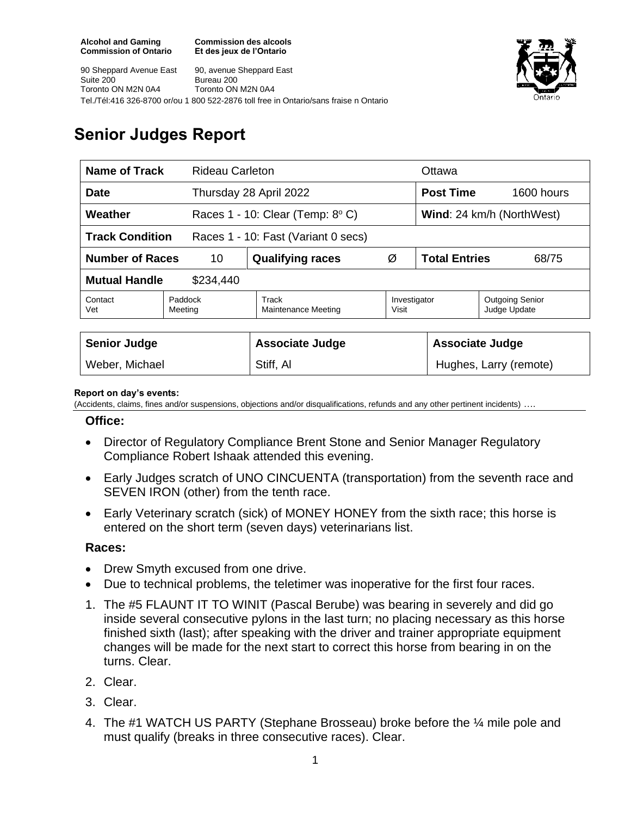**Commission des alcools Et des jeux de l'Ontario**





# **Senior Judges Report**

| <b>Name of Track</b>                                          |                    | <b>Rideau Carleton</b>                       |                       |                               | Ottawa                                 |  |
|---------------------------------------------------------------|--------------------|----------------------------------------------|-----------------------|-------------------------------|----------------------------------------|--|
| <b>Date</b>                                                   |                    | Thursday 28 April 2022                       |                       | <b>Post Time</b>              | 1600 hours                             |  |
| Weather                                                       |                    | Races $1 - 10$ : Clear (Temp: $8^{\circ}$ C) |                       | Wind: 24 km/h (NorthWest)     |                                        |  |
| <b>Track Condition</b><br>Races 1 - 10: Fast (Variant 0 secs) |                    |                                              |                       |                               |                                        |  |
| <b>Number of Races</b>                                        | 10                 | <b>Qualifying races</b>                      | Ø                     | <b>Total Entries</b><br>68/75 |                                        |  |
| <b>Mutual Handle</b><br>\$234,440                             |                    |                                              |                       |                               |                                        |  |
| Contact<br>Vet                                                | Paddock<br>Meeting | Track<br>Maintenance Meeting                 | Investigator<br>Visit |                               | <b>Outgoing Senior</b><br>Judge Update |  |
|                                                               |                    |                                              |                       |                               |                                        |  |
| <b>Senior Judge</b>                                           |                    | <b>Associate Judge</b>                       |                       | <b>Associate Judge</b>        |                                        |  |
| Weber, Michael                                                |                    | Stiff, Al                                    |                       |                               | Hughes, Larry (remote)                 |  |

#### **Report on day's events:**

(Accidents, claims, fines and/or suspensions, objections and/or disqualifications, refunds and any other pertinent incidents) ….

#### **Office:**

- Director of Regulatory Compliance Brent Stone and Senior Manager Regulatory Compliance Robert Ishaak attended this evening.
- Early Judges scratch of UNO CINCUENTA (transportation) from the seventh race and SEVEN IRON (other) from the tenth race.
- Early Veterinary scratch (sick) of MONEY HONEY from the sixth race; this horse is entered on the short term (seven days) veterinarians list.

### **Races:**

- **Drew Smyth excused from one drive.**
- Due to technical problems, the teletimer was inoperative for the first four races.
- 1. The #5 FLAUNT IT TO WINIT (Pascal Berube) was bearing in severely and did go inside several consecutive pylons in the last turn; no placing necessary as this horse finished sixth (last); after speaking with the driver and trainer appropriate equipment changes will be made for the next start to correct this horse from bearing in on the turns. Clear.
- 2. Clear.
- 3. Clear.
- 4. The #1 WATCH US PARTY (Stephane Brosseau) broke before the ¼ mile pole and must qualify (breaks in three consecutive races). Clear.